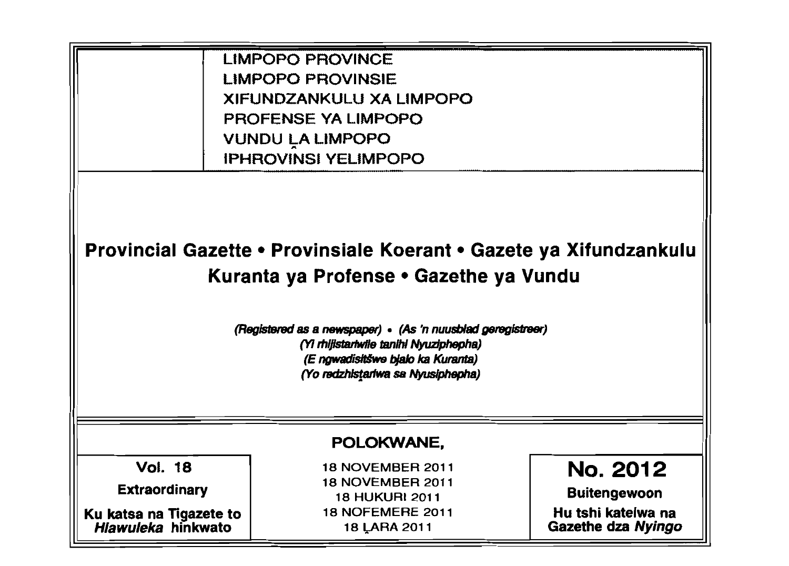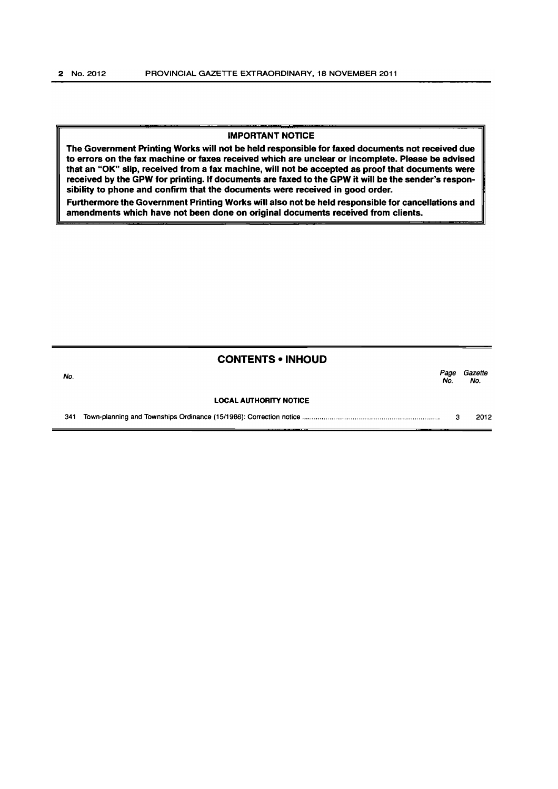### **IMPORTANT NOTICE**

The Government Printing Works will not be held responsible for faxed documents not received due to errors on the fax machine or faxes received which are unclear or incomplete. Please be advised that an "OK" slip, received from a fax machine, will not be accepted as proof that documents were received by the GPW for printing. If documents are faxed to the GPW it will be the sender's responsibility to phone and confirm that the documents were received in good order.

Furthermore the Government Printing Works will also not be held responsible for cancellations and amendments which have not been done on original documents received from clients.

# CONTENTS • INHOUD no.<br>No. Page Gazette Page Gazette Page Gazette Page Gazette Page Gazette Page Gazette Page Gazette Page Gazette Pa No. No. LOCAL AUTHORITY NOTICE 341 Town-planning and Townships Ordinance (15/1986): Correction notice ...................................................................... . 3 2012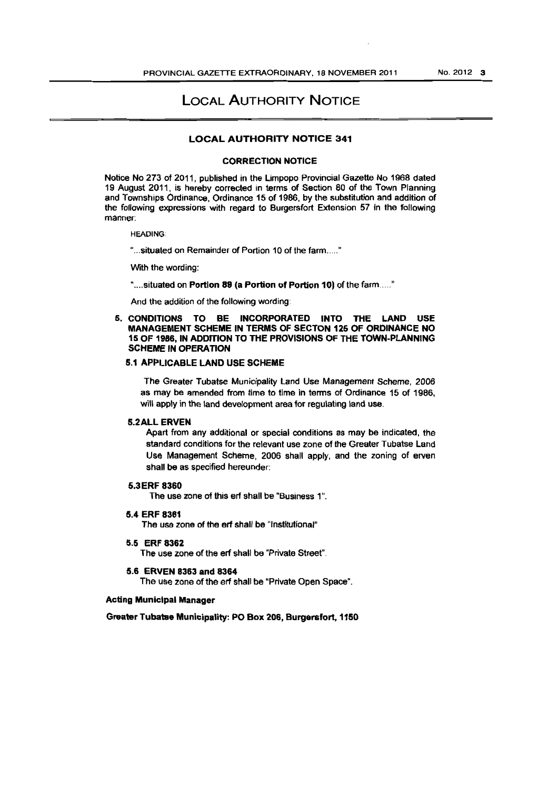## LOCAL AUTHORITY NOTICE

#### LOCAL AUTHORITY NOTICE 341

#### CORRECTION NOTICE

Notice No 273 of 2011, published in the Limpopo Provincial Gazette No 1968 dated 19 August 2011. is hereby corrected in terms of Section SO of the Town Planning and Townships Ordinance. Ordinance 15 of 1986. by the substitution and addition of the following expressions with regard to Burgersfort Extension 57 in the following manner:

HEADING:

"...situated on Remainder of Portion 10 of the farm....."

With the wording:

".... situated on Portion 89 (a Portion of Portion 10) of the farm....."

And the addition of the following wording:

#### 5. CONDITIONS TO BE INCORPORATED INTO THE LAND USE MANAGEMENT SCHEME IN TERMS OF SECTON 125 OF ORDINANCE NO 15 OF 1986, IN ADDITION TO THE PROVISIONS OF THE TOWN-PLANNING SCHEME IN OPERATION

#### 5.1 APPLICABLE LAND USE SCHEME

The Greater Tubatse Municipality land Use Management Scheme, 2006 as may be amended from time to time in tenns of Ordinance 15 of 1986. will apply in the land development area for regulating land use.

#### 5.2ALL ERVEN

Apart from any additional or special conditions as may be indicated, the standard conditions for the relevant use zone of the Greater Tubatse Land Use Management Scheme, 2006 shall apply. and the zoning of erven shall be as specified hereunder:

#### 5.3ERF 8360

The use zone of this erf shall be "Business 1",

5.4 ERF 8361

The use zone of the ert shall be "Institutional"

5.5 ERF8362

The use zone of the erf shall be "Private Street"

5.6 ERVEN 8363 and 8364

The use zone of the erf shall be "Private Open Space".

#### Acting Municipal Manager

Greater Tubatse Municipality: PO Box 206, Burgarsfort, 1150